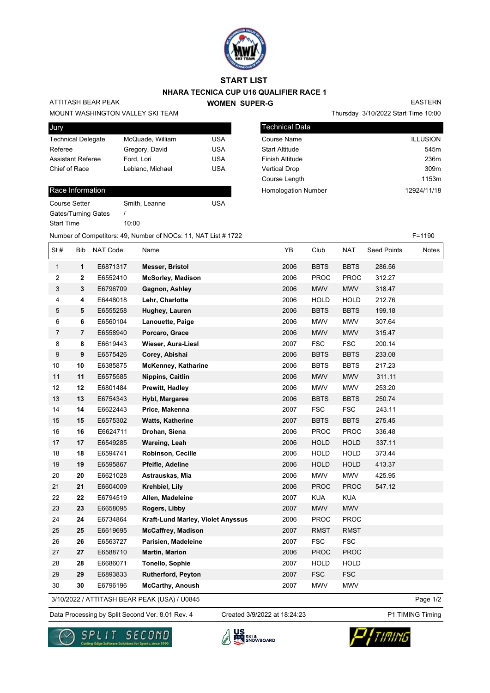

### **START LIST**

### **NHARA TECNICA CUP U16 QUALIFIER RACE 1 WOMEN SUPER-G**

## ATTITASH BEAR PEAK

MOUNT WASHINGTON VALLEY SKI TEAM

| Jury                      |                  |     |
|---------------------------|------------------|-----|
| <b>Technical Delegate</b> | McQuade, William | USA |
| Referee                   | Gregory, David   | USA |
| <b>Assistant Referee</b>  | Ford, Lori       | USA |
| Chief of Race             | Leblanc, Michael | USA |
|                           |                  |     |

#### Race Information

| Course Setter       | Smith, Leanne | USA |
|---------------------|---------------|-----|
| Gates/Turning Gates |               |     |
| <b>Start Time</b>   | 10:00         |     |

|                        | Thursday 3/10/2022 Start Time 10:00 |
|------------------------|-------------------------------------|
| <b>Technical Data</b>  |                                     |
| Course Name            | <b>ILLUSION</b>                     |
| <b>Start Altitude</b>  | 545 <sub>m</sub>                    |
| <b>Finish Altitude</b> | 236m                                |
| <b>Vertical Drop</b>   | 309m                                |

Course Length 1153m

Homologation Number 12924/11/18

Number of Competitors: 49, Number of NOCs: 11, NAT List # 1722 F=1190

| St#            | Bib              | NAT Code | Name                              | YB   | Club        | NAT         | <b>Seed Points</b> | Notes |
|----------------|------------------|----------|-----------------------------------|------|-------------|-------------|--------------------|-------|
| $\mathbf{1}$   | $\mathbf 1$      | E6871317 | <b>Messer, Bristol</b>            | 2006 | <b>BBTS</b> | <b>BBTS</b> | 286.56             |       |
| 2              | $\mathbf{2}$     | E6552410 | <b>McSorley, Madison</b>          | 2006 | <b>PROC</b> | <b>PROC</b> | 312.27             |       |
| 3              | 3                | E6796709 | Gagnon, Ashley                    | 2006 | <b>MWV</b>  | <b>MWV</b>  | 318.47             |       |
| 4              | 4                | E6448018 | Lehr, Charlotte                   | 2006 | <b>HOLD</b> | <b>HOLD</b> | 212.76             |       |
| 5              | 5                | E6555258 | Hughey, Lauren                    | 2006 | <b>BBTS</b> | <b>BBTS</b> | 199.18             |       |
| 6              | 6                | E6560104 | Lanouette, Paige                  | 2006 | <b>MWV</b>  | <b>MWV</b>  | 307.64             |       |
| $\overline{7}$ | $\overline{7}$   | E6558940 | Porcaro, Grace                    | 2006 | <b>MWV</b>  | <b>MWV</b>  | 315.47             |       |
| 8              | 8                | E6619443 | <b>Wieser, Aura-Liesl</b>         | 2007 | <b>FSC</b>  | <b>FSC</b>  | 200.14             |       |
| 9              | $\boldsymbol{9}$ | E6575426 | Corey, Abishai                    | 2006 | <b>BBTS</b> | <b>BBTS</b> | 233.08             |       |
| $10$           | 10               | E6385875 | McKenney, Katharine               | 2006 | <b>BBTS</b> | <b>BBTS</b> | 217.23             |       |
| 11             | 11               | E6575585 | Nippins, Caitlin                  | 2006 | <b>MWV</b>  | <b>MWV</b>  | 311.11             |       |
| 12             | 12               | E6801484 | Prewitt, Hadley                   | 2006 | <b>MWV</b>  | <b>MWV</b>  | 253.20             |       |
| 13             | 13               | E6754343 | Hybl, Margaree                    | 2006 | <b>BBTS</b> | <b>BBTS</b> | 250.74             |       |
| 14             | 14               | E6622443 | Price, Makenna                    | 2007 | <b>FSC</b>  | <b>FSC</b>  | 243.11             |       |
| 15             | 15               | E6575302 | Watts, Katherine                  | 2007 | <b>BBTS</b> | <b>BBTS</b> | 275.45             |       |
| 16             | 16               | E6624711 | Drohan, Siena                     | 2006 | PROC        | <b>PROC</b> | 336.48             |       |
| 17             | 17               | E6549285 | Wareing, Leah                     | 2006 | <b>HOLD</b> | <b>HOLD</b> | 337.11             |       |
| 18             | 18               | E6594741 | Robinson, Cecille                 | 2006 | <b>HOLD</b> | <b>HOLD</b> | 373.44             |       |
| 19             | 19               | E6595867 | Pfeifle, Adeline                  | 2006 | <b>HOLD</b> | <b>HOLD</b> | 413.37             |       |
| 20             | 20               | E6621028 | Astrauskas, Mia                   | 2006 | MWV         | <b>MWV</b>  | 425.95             |       |
| 21             | 21               | E6604009 | Krehbiel, Lily                    | 2006 | <b>PROC</b> | <b>PROC</b> | 547.12             |       |
| 22             | 22               | E6794519 | Allen, Madeleine                  | 2007 | <b>KUA</b>  | <b>KUA</b>  |                    |       |
| 23             | 23               | E6658095 | Rogers, Libby                     | 2007 | <b>MWV</b>  | <b>MWV</b>  |                    |       |
| 24             | 24               | E6734864 | Kraft-Lund Marley, Violet Anyssus | 2006 | <b>PROC</b> | <b>PROC</b> |                    |       |
| 25             | 25               | E6619695 | <b>McCaffrey, Madison</b>         | 2007 | <b>RMST</b> | <b>RMST</b> |                    |       |
| 26             | 26               | E6563727 | Parisien, Madeleine               | 2007 | <b>FSC</b>  | <b>FSC</b>  |                    |       |
| 27             | 27               | E6588710 | <b>Martin, Marion</b>             | 2006 | <b>PROC</b> | <b>PROC</b> |                    |       |
| 28             | 28               | E6686071 | <b>Tonello, Sophie</b>            | 2007 | <b>HOLD</b> | <b>HOLD</b> |                    |       |
| 29             | 29               | E6893833 | <b>Rutherford, Peyton</b>         | 2007 | <b>FSC</b>  | <b>FSC</b>  |                    |       |
| 30             | 30               | E6796196 | <b>McCarthy, Anoush</b>           | 2007 | <b>MWV</b>  | <b>MWV</b>  |                    |       |

3/10/2022 / ATTITASH BEAR PEAK (USA) / U0845

Data Processing by Split Second Ver. 8.01 Rev. 4 Created 3/9/2022 at 18:24:23 P1 TIMING Timing Created 3/9/2022 at 18:24:23

Page 1/2







EASTERN